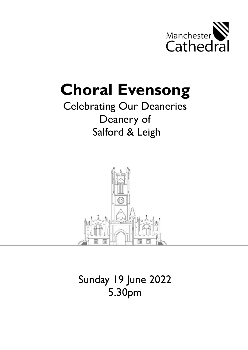

# **Choral Evensong**

## Celebrating Our Deaneries Deanery of Salford & Leigh



Sunday 19 June 2022 5.30pm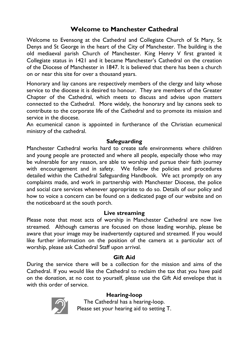### **Welcome to Manchester Cathedral**

Welcome to Evensong at the Cathedral and Collegiate Church of St Mary, St Denys and St George in the heart of the City of Manchester. The building is the old mediaeval parish Church of Manchester. King Henry V first granted it Collegiate status in 1421 and it became Manchester's Cathedral on the creation of the Diocese of Manchester in 1847. It is believed that there has been a church on or near this site for over a thousand years.

Honorary and lay canons are respectively members of the clergy and laity whose service to the diocese it is desired to honour. They are members of the Greater Chapter of the Cathedral, which meets to discuss and advise upon matters connected to the Cathedral. More widely, the honorary and lay canons seek to contribute to the corporate life of the Cathedral and to promote its mission and service in the diocese.

An ecumenical canon is appointed in furtherance of the Christian ecumenical ministry of the cathedral.

### **Safeguarding**

Manchester Cathedral works hard to create safe environments where children and young people are protected and where all people, especially those who may be vulnerable for any reason, are able to worship and pursue their faith journey with encouragement and in safety. We follow the policies and procedures detailed within the Cathedral Safeguarding Handbook. We act promptly on any complaints made, and work in partnership with Manchester Diocese, the police and social care services whenever appropriate to do so. Details of our policy and how to voice a concern can be found on a dedicated page of our website and on the noticeboard at the south porch.

### **Live streaming**

Please note that most acts of worship in Manchester Cathedral are now live streamed. Although cameras are focused on those leading worship, please be aware that your image may be inadvertently captured and streamed. If you would like further information on the position of the camera at a particular act of worship, please ask Cathedral Staff upon arrival.

### **Gift Aid**

During the service there will be a collection for the mission and aims of the Cathedral. If you would like the Cathedral to reclaim the tax that you have paid on the donation, at no cost to yourself, please use the Gift Aid envelope that is with this order of service.



### **Hearing-loop**

The Cathedral has a hearing-loop. Please set your hearing aid to setting T.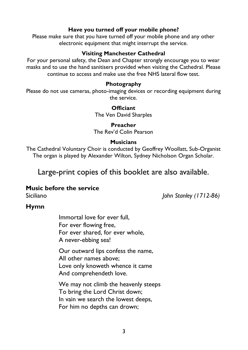### **Have you turned off your mobile phone?**

Please make sure that you have turned off your mobile phone and any other electronic equipment that might interrupt the service.

### **Visiting Manchester Cathedral**

For your personal safety, the Dean and Chapter strongly encourage you to wear masks and to use the hand sanitisers provided when visiting the Cathedral. Please continue to access and make use the free NHS lateral flow test.

### **Photography**

Please do not use cameras, photo-imaging devices or recording equipment during the service.

### **Officiant**

The Ven David Sharples

### **Preacher**

The Rev'd Colin Pearson

### **Musicians**

The Cathedral Voluntary Choir is conducted by Geoffrey Woollatt, Sub-Organist The organ is played by Alexander Wilton, Sydney Nicholson Organ Scholar.

Large-print copies of this booklet are also available.

### **Music before the service**

Siciliano *John Stanley (1712-86)*

### **Hymn**

Immortal love for ever full, For ever flowing free, For ever shared, for ever whole, A never-ebbing sea!

Our outward lips confess the name, All other names above; Love only knoweth whence it came And comprehendeth love.

We may not climb the heavenly steeps To bring the Lord Christ down; In vain we search the lowest deeps, For him no depths can drown;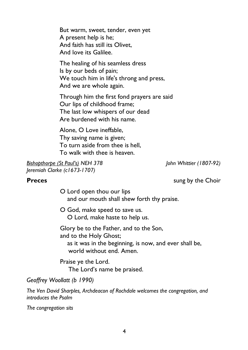But warm, sweet, tender, even yet A present help is he; And faith has still its Olivet, And love its Galilee.

The healing of his seamless dress Is by our beds of pain; We touch him in life's throng and press, And we are whole again.

Through him the first fond prayers are said Our lips of childhood frame; The last low whispers of our dead Are burdened with his name.

Alone, O Love ineffable, Thy saving name is given; To turn aside from thee is hell, To walk with thee is heaven.

*Bishopthorpe (St Paul's) NEH 378 John Whittier (1807-92) Jeremiah Clarke (c1673-1707)*

**Preces** sung by the Choir

O Lord open thou our lips and our mouth shall shew forth thy praise.

O God, make speed to save us. O Lord, make haste to help us.

Glory be to the Father, and to the Son, and to the Holy Ghost;

 as it was in the beginning, is now, and ever shall be, world without end. Amen.

Praise ye the Lord. The Lord's name be praised.

*Geoffrey Woollatt (b 1990)* 

*The Ven David Sharples, Archdeacon of Rochdale welcomes the congregation, and introduces the Psalm*

*The congregation sits*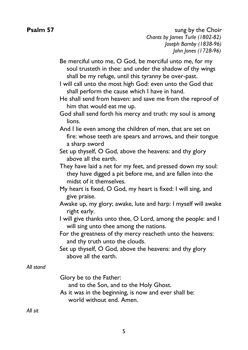**Psalm 57** sung by the Choir *Chants by James Turle (1802-82) Joseph Barnby (1838-96) John Jones (1728-96)*

> Be merciful unto me, O God, be merciful unto me, for my soul trusteth in thee: and under the shadow of thy wings shall be my refuge, until this tyranny be over-past.

I will call unto the most high God: even unto the God that shall perform the cause which I have in hand.

He shall send from heaven: and save me from the reproof of him that would eat me up.

God shall send forth his mercy and truth: my soul is among lions.

And I lie even among the children of men, that are set on fire: whose teeth are spears and arrows, and their tongue a sharp sword

Set up thyself, O God, above the heavens: and thy glory above all the earth.

They have laid a net for my feet, and pressed down my soul: they have digged a pit before me, and are fallen into the midst of it themselves.

My heart is fixed, O God, my heart is fixed: I will sing, and give praise.

Awake up, my glory; awake, lute and harp: I myself will awake right early.

I will give thanks unto thee, O Lord, among the people: and I will sing unto thee among the nations.

For the greatness of thy mercy reacheth unto the heavens: and thy truth unto the clouds.

Set up thyself, O God, above the heavens: and thy glory above all the earth.

*All stand*

Glory be to the Father:

and to the Son, and to the Holy Ghost.

As it was in the beginning, is now and ever shall be: world without end. Amen.

*All sit*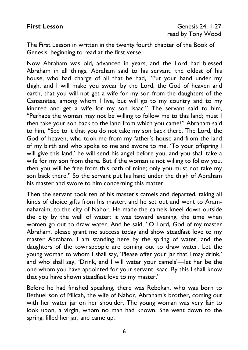The First Lesson in written in the twenty fourth chapter of the Book of Genesis, beginning to read at the first verse.

Now Abraham was old, advanced in years, and the Lord had blessed Abraham in all things. Abraham said to his servant, the oldest of his house, who had charge of all that he had, "Put your hand under my thigh, and I will make you swear by the Lord, the God of heaven and earth, that you will not get a wife for my son from the daughters of the Canaanites, among whom I live, but will go to my country and to my kindred and get a wife for my son Isaac." The servant said to him, "Perhaps the woman may not be willing to follow me to this land; must I then take your son back to the land from which you came?" Abraham said to him, "See to it that you do not take my son back there. The Lord, the God of heaven, who took me from my father's house and from the land of my birth and who spoke to me and swore to me, 'To your offspring I will give this land,' he will send his angel before you, and you shall take a wife for my son from there. But if the woman is not willing to follow you, then you will be free from this oath of mine; only you must not take my son back there." So the servant put his hand under the thigh of Abraham his master and swore to him concerning this matter.

Then the servant took ten of his master's camels and departed, taking all kinds of choice gifts from his master, and he set out and went to Aramnaharaim, to the city of Nahor. He made the camels kneel down outside the city by the well of water; it was toward evening, the time when women go out to draw water. And he said, "O Lord, God of my master Abraham, please grant me success today and show steadfast love to my master Abraham. I am standing here by the spring of water, and the daughters of the townspeople are coming out to draw water. Let the young woman to whom I shall say, 'Please offer your jar that I may drink,' and who shall say, 'Drink, and I will water your camels'—let her be the one whom you have appointed for your servant Isaac. By this I shall know that you have shown steadfast love to my master."

Before he had finished speaking, there was Rebekah, who was born to Bethuel son of Milcah, the wife of Nahor, Abraham's brother, coming out with her water jar on her shoulder. The young woman was very fair to look upon, a virgin, whom no man had known. She went down to the spring, filled her jar, and came up.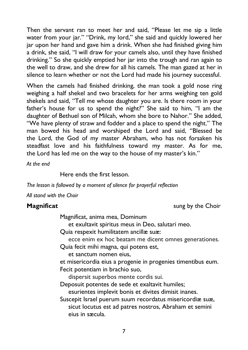Then the servant ran to meet her and said, "Please let me sip a little water from your jar." "Drink, my lord," she said and quickly lowered her jar upon her hand and gave him a drink. When she had finished giving him a drink, she said, "I will draw for your camels also, until they have finished drinking." So she quickly emptied her jar into the trough and ran again to the well to draw, and she drew for all his camels. The man gazed at her in silence to learn whether or not the Lord had made his journey successful.

When the camels had finished drinking, the man took a gold nose ring weighing a half shekel and two bracelets for her arms weighing ten gold shekels and said, "Tell me whose daughter you are. Is there room in your father's house for us to spend the night?" She said to him, "I am the daughter of Bethuel son of Milcah, whom she bore to Nahor." She added, "We have plenty of straw and fodder and a place to spend the night." The man bowed his head and worshiped the Lord and said, "Blessed be the Lord, the God of my master Abraham, who has not forsaken his steadfast love and his faithfulness toward my master. As for me, the Lord has led me on the way to the house of my master's kin."

*At the end*

Here ends the first lesson.

*The lesson is followed by a moment of silence for prayerful reflection*

*All stand with the Choir*

**Magnificat** sung by the Choir

Magnificat, anima mea, Dominum

et exultavit spiritus meus in Deo, salutari meo.

Quia respexit humilitatem ancillæ suæ:

ecce enim ex hoc beatam me dicent omnes generationes.

Quia fecit mihi magna, qui potens est,

et sanctum nomen eius,

et misericordia eius a progenie in progenies timentibus eum. Fecit potentiam in brachio suo,

dispersit superbos mente cordis sui.

Deposuit potentes de sede et exaltavit humiles;

esurientes implevit bonis et divites dimisit inanes.

Suscepit Israel puerum suum recordatus misericordiæ suæ, sicut locutus est ad patres nostros, Abraham et semini eius in sæcula.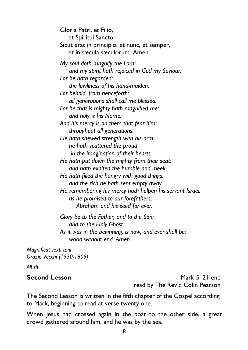Gloria Patri, et Filio, et Spiritui Sancto: Sicut erat in principio, et nunc, et semper, et in sæcula sæculorum. Amen. *My soul doth magnify the Lord: and my spirit hath rejoiced in God my Saviour. For he hath regarded: the lowliness of his hand-maiden. For behold, from henceforth: all generations shall call me blessèd. For he that is mighty hath magnified me: and holy is his Name. And his mercy is on them that fear him: throughout all generations. He hath shewed strength with his arm: he hath scattered the proud in the imagination of their hearts. He hath put down the mighty from their seat: and hath exalted the humble and meek. He hath filled the hungry with good things: and the rich he hath sent empty away. He remembering his mercy hath holpen his servant Israel: as he promised to our forefathers, Abraham and his seed for ever. Glory be to the Father, and to the Son: and to the Holy Ghost. As it was in the beginning, is now, and ever shall be:* 

*world without end. Amen.*

*Magnificat sexti toni Orazio Vecchi (1550-1605)*

*All sit*

**Second Lesson** Mark 5. 21-end read by The Rev'd Colin Pearson

The Second Lesson is written in the fifth chapter of the Gospel according to Mark, beginning to read at verse twenty one.

When Jesus had crossed again in the boat to the other side, a great crowd gathered around him, and he was by the sea.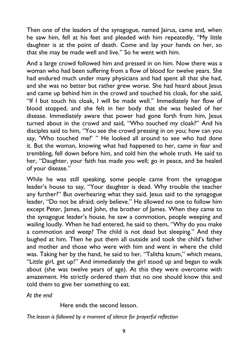Then one of the leaders of the synagogue, named Jairus, came and, when he saw him, fell at his feet and pleaded with him repeatedly, "My little daughter is at the point of death. Come and lay your hands on her, so that she may be made well and live." So he went with him.

And a large crowd followed him and pressed in on him. Now there was a woman who had been suffering from a flow of blood for twelve years. She had endured much under many physicians and had spent all that she had, and she was no better but rather grew worse. She had heard about Jesus and came up behind him in the crowd and touched his cloak, for she said, "If I but touch his cloak, I will be made well." Immediately her flow of blood stopped, and she felt in her body that she was healed of her disease. Immediately aware that power had gone forth from him, Jesus turned about in the crowd and said, "Who touched my cloak?" And his disciples said to him, "You see the crowd pressing in on you; how can you say, 'Who touched me?' " He looked all around to see who had done it. But the woman, knowing what had happened to her, came in fear and trembling, fell down before him, and told him the whole truth. He said to her, "Daughter, your faith has made you well; go in peace, and be healed of your disease."

While he was still speaking, some people came from the synagogue leader's house to say, "Your daughter is dead. Why trouble the teacher any further?" But overhearing what they said, lesus said to the synagogue leader, "Do not be afraid; only believe." He allowed no one to follow him except Peter, James, and John, the brother of James. When they came to the synagogue leader's house, he saw a commotion, people weeping and wailing loudly. When he had entered, he said to them, "Why do you make a commotion and weep? The child is not dead but sleeping." And they laughed at him. Then he put them all outside and took the child's father and mother and those who were with him and went in where the child was. Taking her by the hand, he said to her, "Talitha koum," which means, "Little girl, get up!" And immediately the girl stood up and began to walk about (she was twelve years of age). At this they were overcome with amazement. He strictly ordered them that no one should know this and told them to give her something to eat.

*At the end*

Here ends the second lesson.

*The lesson is followed by a moment of silence for prayerful reflection*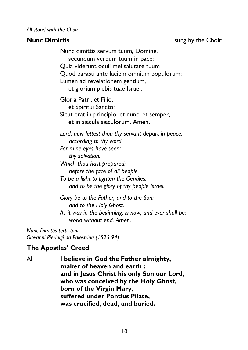**Nunc Dimittis** *Nunc* **Dimittis** *number* **<b>***sung by the Choir number sung by the Choir* 

Nunc dimittis servum tuum, Domine, secundum verbum tuum in pace: Quia viderunt oculi mei salutare tuum Quod parasti ante faciem omnium populorum: Lumen ad revelationem gentium, et gloriam plebis tuae Israel. Gloria Patri, et Filio, et Spiritui Sancto: Sicut erat in principio, et nunc, et semper,

et in sæcula sæculorum. Amen.

*Lord, now lettest thou thy servant depart in peace: according to thy word.* 

*For mine eyes have seen: thy salvation.* 

*Which thou hast prepared: before the face of all people.* 

*To be a light to lighten the Gentiles: and to be the glory of thy people Israel.*

*Glory be to the Father, and to the Son: and to the Holy Ghost. As it was in the beginning, is now, and ever shall be: world without end. Amen.*

*Nunc Dimittis tertii toni Giovanni Pierluigi da Palestrina (1525-94)*

### **The Apostles' Creed**

All **I believe in God the Father almighty, maker of heaven and earth : and in Jesus Christ his only Son our Lord, who was conceived by the Holy Ghost, born of the Virgin Mary, suffered under Pontius Pilate, was crucified, dead, and buried.**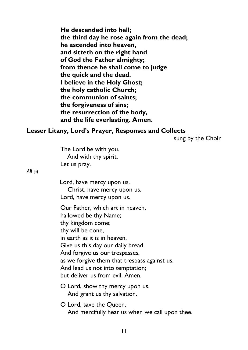**He descended into hell; the third day he rose again from the dead; he ascended into heaven, and sitteth on the right hand of God the Father almighty; from thence he shall come to judge the quick and the dead. I believe in the Holy Ghost; the holy catholic Church; the communion of saints; the forgiveness of sins; the resurrection of the body, and the life everlasting. Amen.** 

### **Lesser Litany, Lord's Prayer, Responses and Collects**

sung by the Choir

The Lord be with you. And with thy spirit. Let us pray.

### *All sit*

Lord, have mercy upon us.

 Christ, have mercy upon us. Lord, have mercy upon us.

Our Father, which art in heaven, hallowed be thy Name; thy kingdom come; thy will be done, in earth as it is in heaven. Give us this day our daily bread. And forgive us our trespasses, as we forgive them that trespass against us. And lead us not into temptation; but deliver us from evil. Amen.

O Lord, show thy mercy upon us. And grant us thy salvation.

O Lord, save the Queen. And mercifully hear us when we call upon thee.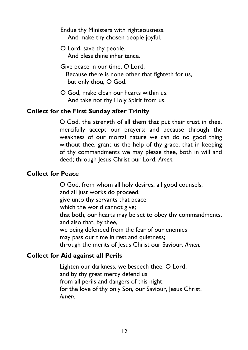Endue thy Ministers with righteousness. And make thy chosen people joyful.

- O Lord, save thy people. And bless thine inheritance.
- Give peace in our time, O Lord. Because there is none other that fighteth for us, but only thou, O God.
- O God, make clean our hearts within us. And take not thy Holy Spirit from us.

### **Collect for the First Sunday after Trinity**

O God, the strength of all them that put their trust in thee, mercifully accept our prayers; and because through the weakness of our mortal nature we can do no good thing without thee, grant us the help of thy grace, that in keeping of thy commandments we may please thee, both in will and deed; through Jesus Christ our Lord. *Amen.* 

### **Collect for Peace**

O God, from whom all holy desires, all good counsels, and all just works do proceed; give unto thy servants that peace which the world cannot give; that both, our hearts may be set to obey thy commandments, and also that, by thee, we being defended from the fear of our enemies may pass our time in rest and quietness; through the merits of Jesus Christ our Saviour. *Amen.*

### **Collect for Aid against all Perils**

Lighten our darkness, we beseech thee, O Lord; and by thy great mercy defend us from all perils and dangers of this night; for the love of thy only Son, our Saviour, Jesus Christ. *Amen.*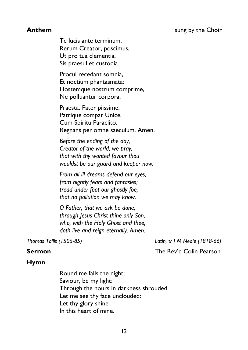Te lucis ante terminum, Rerum Creator, poscimus, Ut pro tua clementia, Sis praesul et custodia.

Procul recedant somnia, Et noctium phantasmata: Hostemque nostrum comprime, Ne polluantur corpora.

Praesta, Pater piissime, Patrique compar Unice, Cum Spiritu Paraclito, Regnans per omne saeculum. Amen.

*Before the ending of the day, Creator of the world, we pray, that with thy wonted favour thou wouldst be our guard and keeper now.*

*From all ill dreams defend our eyes, from nightly fears and fantasies; tread under foot our ghostly foe, that no pollution we may know.*

*O Father, that we ask be done, through Jesus Christ thine only Son, who, with the Holy Ghost and thee, doth live and reign eternally. Amen.* 

*Thomas Tallis (1505-85) Latin, tr J M Neale (1818-66)*

### **Sermon** The Rev'd Colin Pearson

### **Hymn**

Round me falls the night; Saviour, be my light: Through the hours in darkness shrouded Let me see thy face unclouded: Let thy glory shine In this heart of mine.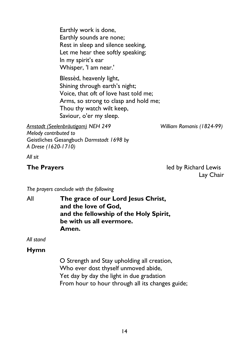Earthly work is done, Earthly sounds are none; Rest in sleep and silence seeking, Let me hear thee softly speaking; In my spirit's ear Whisper, 'I am near.'

Blessèd, heavenly light, Shining through earth's night; Voice, that oft of love hast told me; Arms, so strong to clasp and hold me; Thou thy watch wilt keep, Saviour, o'er my sleep.

*Arnstadt (Seelenbräutigam) NEH 249 William Romanis (1824-99) Melody contributed to* Geistliches Gesangbuch *Darmstadt 1698 by A Drese (1620-1710)*

*All sit*

**The Prayers led by Richard Lewis** Lay Chair

*The prayers conclude with the following*

All **The grace of our Lord Jesus Christ, and the love of God, and the fellowship of the Holy Spirit, be with us all evermore. Amen.**

*All stand*

**Hymn** 

O Strength and Stay upholding all creation, Who ever dost thyself unmoved abide, Yet day by day the light in due gradation From hour to hour through all its changes guide;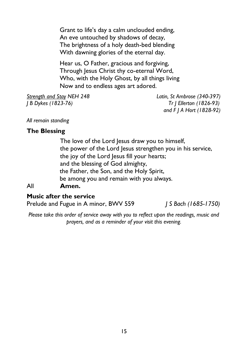Grant to life's day a calm unclouded ending, An eve untouched by shadows of decay, The brightness of a holy death-bed blending With dawning glories of the eternal day.

Hear us, O Father, gracious and forgiving, Through Jesus Christ thy co-eternal Word, Who, with the Holy Ghost, by all things living Now and to endless ages art adored.

*Strength and Stay NEH 248 Latin, St Ambrose (340-397) J B Dykes (1823-76) Tr J Ellerton (1826-93)*

 *and F J A Hort (1828-92)*

*All remain standing*

### **The Blessing**

The love of the Lord Jesus draw you to himself, the power of the Lord Jesus strengthen you in his service, the joy of the Lord Jesus fill your hearts; and the blessing of God almighty, the Father, the Son, and the Holy Spirit, be among you and remain with you always.

All **Amen.**

### **Music after the service**

Prelude and Fugue in A minor, BWV 559 *J S Bach (1685-1750)*

*Please take this order of service away with you to reflect upon the readings, music and prayers, and as a reminder of your visit this evening.*